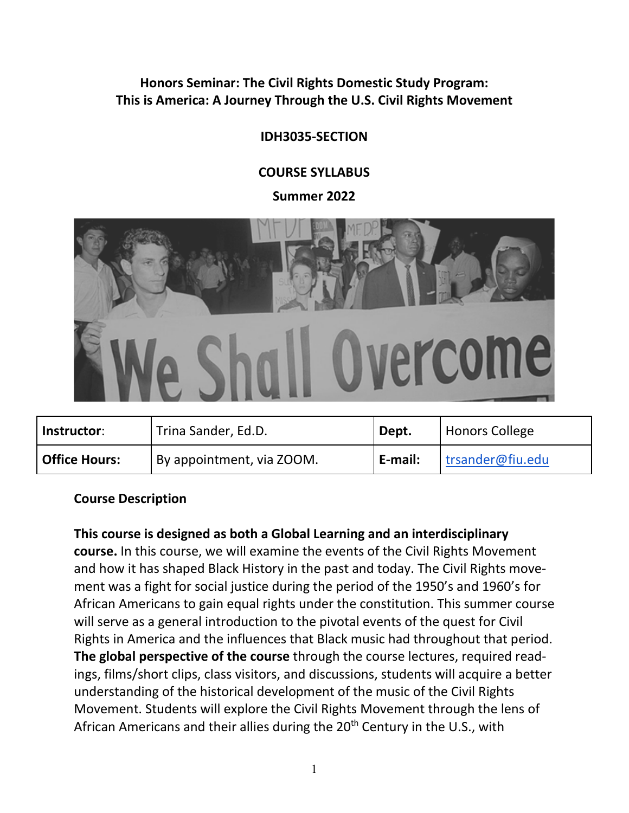#### **Honors Seminar: The Civil Rights Domestic Study Program: This is America: A Journey Through the U.S. Civil Rights Movement**

# **IDH3035-SECTION**

## **COURSE SYLLABUS**

**Summer 2022**



| Instructor:          | <sup>1</sup> Trina Sander, Ed.D. | Dept.           | Honors College   |
|----------------------|----------------------------------|-----------------|------------------|
| <b>Office Hours:</b> | By appointment, via ZOOM.        | <b>LE-mail:</b> | trsander@fiu.edu |

#### **Course Description**

**This course is designed as both a Global Learning and an interdisciplinary course.** In this course, we will examine the events of the Civil Rights Movement and how it has shaped Black History in the past and today. The Civil Rights movement was a fight for social justice during the period of the 1950's and 1960's for African Americans to gain equal rights under the constitution. This summer course will serve as a general introduction to the pivotal events of the quest for Civil Rights in America and the influences that Black music had throughout that period. **The global perspective of the course** through the course lectures, required readings, films/short clips, class visitors, and discussions, students will acquire a better understanding of the historical development of the music of the Civil Rights Movement. Students will explore the Civil Rights Movement through the lens of African Americans and their allies during the 20<sup>th</sup> Century in the U.S., with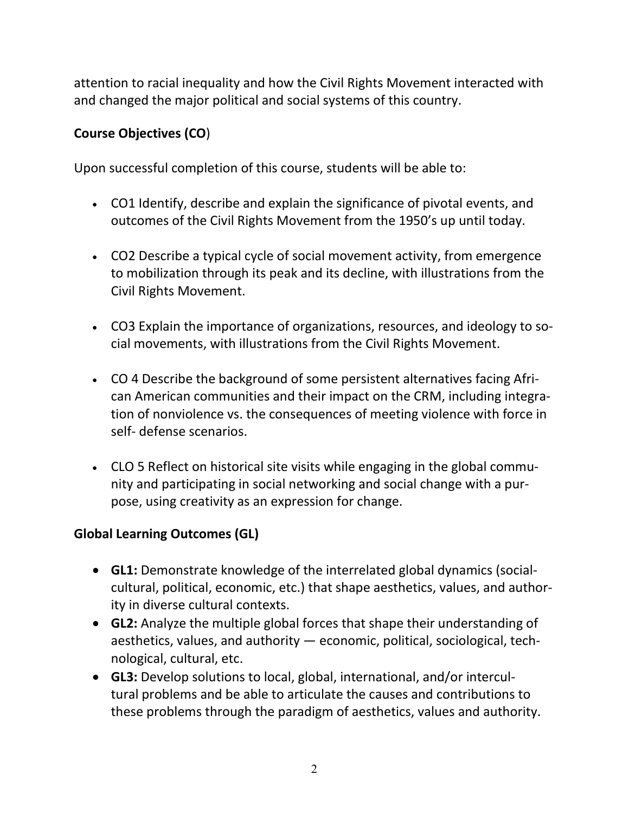attention to racial inequality and how the Civil Rights Movement interacted with and changed the major political and social systems of this country.

# **Course Objectives (CO**)

Upon successful completion of this course, students will be able to:

- CO1 Identify, describe and explain the significance of pivotal events, and outcomes of the Civil Rights Movement from the 1950's up until today.
- CO2 Describe a typical cycle of social movement activity, from emergence to mobilization through its peak and its decline, with illustrations from the Civil Rights Movement.
- CO3 Explain the importance of organizations, resources, and ideology to social movements, with illustrations from the Civil Rights Movement.
- CO 4 Describe the background of some persistent alternatives facing African American communities and their impact on the CRM, including integration of nonviolence vs. the consequences of meeting violence with force in self- defense scenarios.
- CLO 5 Reflect on historical site visits while engaging in the global community and participating in social networking and social change with a purpose, using creativity as an expression for change.

# **Global Learning Outcomes (GL)**

- **GL1:** Demonstrate knowledge of the interrelated global dynamics (socialcultural, political, economic, etc.) that shape aesthetics, values, and authority in diverse cultural contexts.
- **GL2:** Analyze the multiple global forces that shape their understanding of aesthetics, values, and authority — economic, political, sociological, technological, cultural, etc.
- **GL3:** Develop solutions to local, global, international, and/or intercultural problems and be able to articulate the causes and contributions to these problems through the paradigm of aesthetics, values and authority.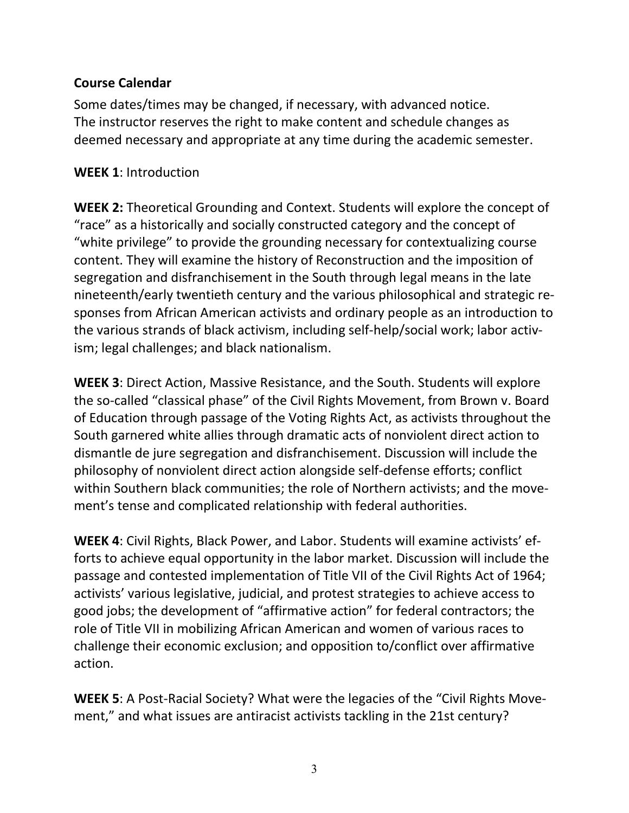## **Course Calendar**

Some dates/times may be changed, if necessary, with advanced notice. The instructor reserves the right to make content and schedule changes as deemed necessary and appropriate at any time during the academic semester.

#### **WEEK 1**: Introduction

**WEEK 2:** Theoretical Grounding and Context. Students will explore the concept of "race" as a historically and socially constructed category and the concept of "white privilege" to provide the grounding necessary for contextualizing course content. They will examine the history of Reconstruction and the imposition of segregation and disfranchisement in the South through legal means in the late nineteenth/early twentieth century and the various philosophical and strategic responses from African American activists and ordinary people as an introduction to the various strands of black activism, including self-help/social work; labor activism; legal challenges; and black nationalism.

**WEEK 3**: Direct Action, Massive Resistance, and the South. Students will explore the so-called "classical phase" of the Civil Rights Movement, from Brown v. Board of Education through passage of the Voting Rights Act, as activists throughout the South garnered white allies through dramatic acts of nonviolent direct action to dismantle de jure segregation and disfranchisement. Discussion will include the philosophy of nonviolent direct action alongside self-defense efforts; conflict within Southern black communities; the role of Northern activists; and the movement's tense and complicated relationship with federal authorities.

**WEEK 4**: Civil Rights, Black Power, and Labor. Students will examine activists' efforts to achieve equal opportunity in the labor market. Discussion will include the passage and contested implementation of Title VII of the Civil Rights Act of 1964; activists' various legislative, judicial, and protest strategies to achieve access to good jobs; the development of "affirmative action" for federal contractors; the role of Title VII in mobilizing African American and women of various races to challenge their economic exclusion; and opposition to/conflict over affirmative action.

**WEEK 5**: A Post-Racial Society? What were the legacies of the "Civil Rights Movement," and what issues are antiracist activists tackling in the 21st century?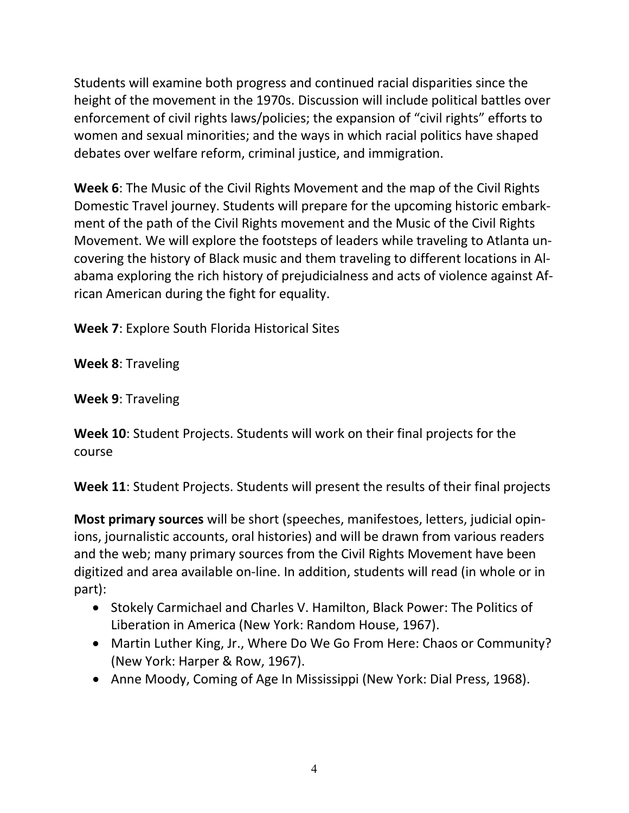Students will examine both progress and continued racial disparities since the height of the movement in the 1970s. Discussion will include political battles over enforcement of civil rights laws/policies; the expansion of "civil rights" efforts to women and sexual minorities; and the ways in which racial politics have shaped debates over welfare reform, criminal justice, and immigration.

**Week 6**: The Music of the Civil Rights Movement and the map of the Civil Rights Domestic Travel journey. Students will prepare for the upcoming historic embarkment of the path of the Civil Rights movement and the Music of the Civil Rights Movement. We will explore the footsteps of leaders while traveling to Atlanta uncovering the history of Black music and them traveling to different locations in Alabama exploring the rich history of prejudicialness and acts of violence against African American during the fight for equality.

**Week 7**: Explore South Florida Historical Sites

**Week 8**: Traveling

**Week 9**: Traveling

**Week 10**: Student Projects. Students will work on their final projects for the course

**Week 11**: Student Projects. Students will present the results of their final projects

**Most primary sources** will be short (speeches, manifestoes, letters, judicial opinions, journalistic accounts, oral histories) and will be drawn from various readers and the web; many primary sources from the Civil Rights Movement have been digitized and area available on-line. In addition, students will read (in whole or in part):

- Stokely Carmichael and Charles V. Hamilton, Black Power: The Politics of Liberation in America (New York: Random House, 1967).
- Martin Luther King, Jr., Where Do We Go From Here: Chaos or Community? (New York: Harper & Row, 1967).
- Anne Moody, Coming of Age In Mississippi (New York: Dial Press, 1968).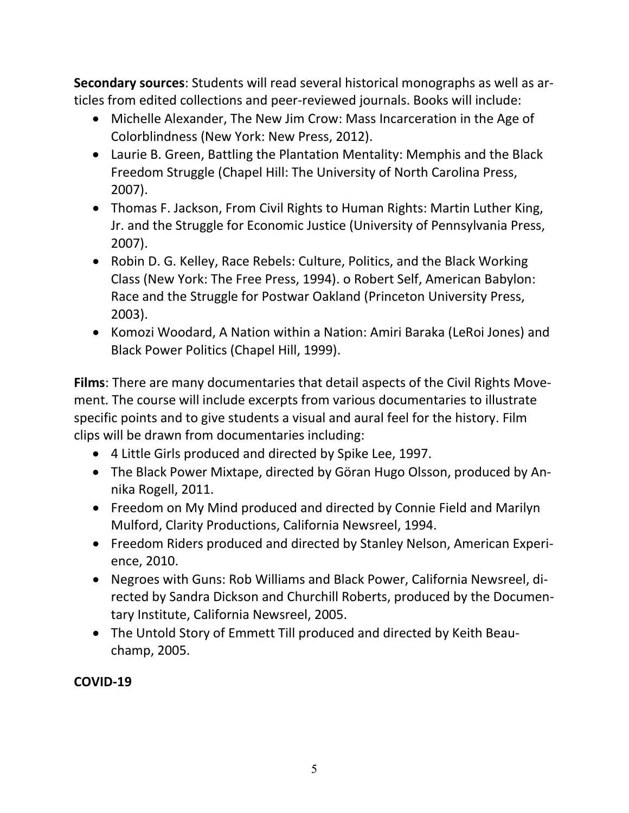**Secondary sources**: Students will read several historical monographs as well as articles from edited collections and peer-reviewed journals. Books will include:

- Michelle Alexander, The New Jim Crow: Mass Incarceration in the Age of Colorblindness (New York: New Press, 2012).
- Laurie B. Green, Battling the Plantation Mentality: Memphis and the Black Freedom Struggle (Chapel Hill: The University of North Carolina Press, 2007).
- Thomas F. Jackson, From Civil Rights to Human Rights: Martin Luther King, Jr. and the Struggle for Economic Justice (University of Pennsylvania Press, 2007).
- Robin D. G. Kelley, Race Rebels: Culture, Politics, and the Black Working Class (New York: The Free Press, 1994). o Robert Self, American Babylon: Race and the Struggle for Postwar Oakland (Princeton University Press, 2003).
- Komozi Woodard, A Nation within a Nation: Amiri Baraka (LeRoi Jones) and Black Power Politics (Chapel Hill, 1999).

**Films**: There are many documentaries that detail aspects of the Civil Rights Movement. The course will include excerpts from various documentaries to illustrate specific points and to give students a visual and aural feel for the history. Film clips will be drawn from documentaries including:

- 4 Little Girls produced and directed by Spike Lee, 1997.
- The Black Power Mixtape, directed by Göran Hugo Olsson, produced by Annika Rogell, 2011.
- Freedom on My Mind produced and directed by Connie Field and Marilyn Mulford, Clarity Productions, California Newsreel, 1994.
- Freedom Riders produced and directed by Stanley Nelson, American Experience, 2010.
- Negroes with Guns: Rob Williams and Black Power, California Newsreel, directed by Sandra Dickson and Churchill Roberts, produced by the Documentary Institute, California Newsreel, 2005.
- The Untold Story of Emmett Till produced and directed by Keith Beauchamp, 2005.

# **COVID-19**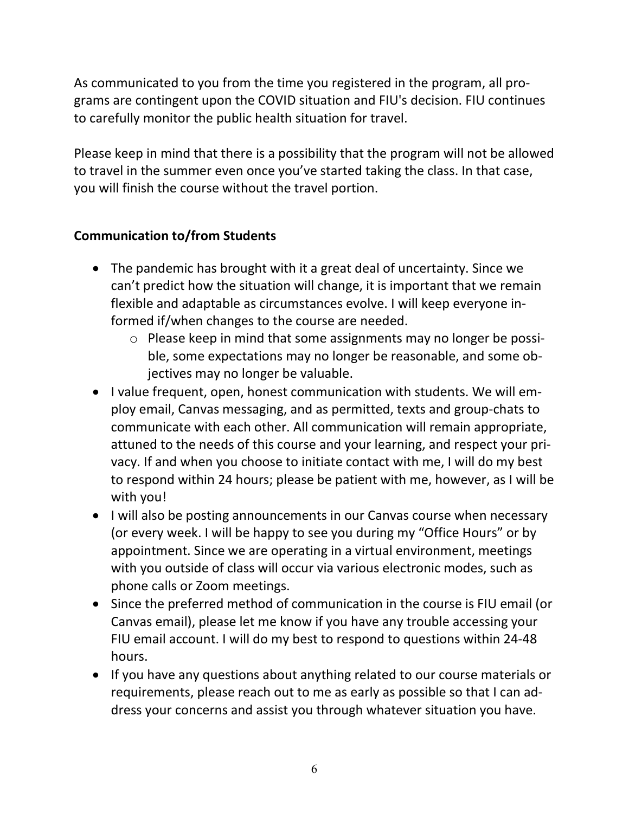As communicated to you from the time you registered in the program, all programs are contingent upon the COVID situation and FIU's decision. FIU continues to carefully monitor the public health situation for travel.

Please keep in mind that there is a possibility that the program will not be allowed to travel in the summer even once you've started taking the class. In that case, you will finish the course without the travel portion.

## **Communication to/from Students**

- The pandemic has brought with it a great deal of uncertainty. Since we can't predict how the situation will change, it is important that we remain flexible and adaptable as circumstances evolve. I will keep everyone informed if/when changes to the course are needed.
	- o Please keep in mind that some assignments may no longer be possible, some expectations may no longer be reasonable, and some objectives may no longer be valuable.
- I value frequent, open, honest communication with students. We will employ email, Canvas messaging, and as permitted, texts and group-chats to communicate with each other. All communication will remain appropriate, attuned to the needs of this course and your learning, and respect your privacy. If and when you choose to initiate contact with me, I will do my best to respond within 24 hours; please be patient with me, however, as I will be with you!
- I will also be posting announcements in our Canvas course when necessary (or every week. I will be happy to see you during my "Office Hours" or by appointment. Since we are operating in a virtual environment, meetings with you outside of class will occur via various electronic modes, such as phone calls or Zoom meetings.
- Since the preferred method of communication in the course is FIU email (or Canvas email), please let me know if you have any trouble accessing your FIU email account. I will do my best to respond to questions within 24-48 hours.
- If you have any questions about anything related to our course materials or requirements, please reach out to me as early as possible so that I can address your concerns and assist you through whatever situation you have.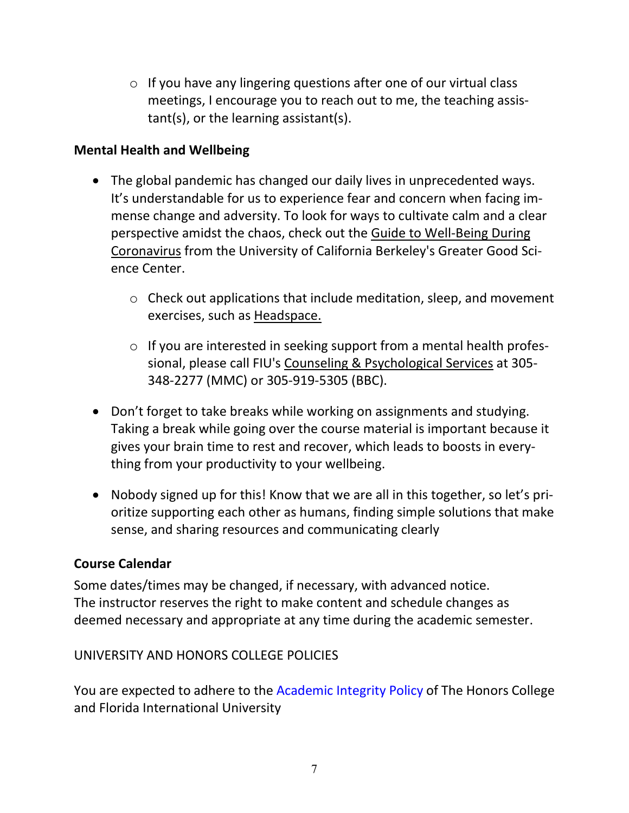$\circ$  If you have any lingering questions after one of our virtual class meetings, I encourage you to reach out to me, the teaching assistant(s), or the learning assistant(s).

## **Mental Health and Wellbeing**

- The global pandemic has changed our daily lives in unprecedented ways. It's understandable for us to experience fear and concern when facing immense change and adversity. To look for ways to cultivate calm and a clear perspective amidst the chaos, check out the [Guide to Well-Being During](https://greatergood.berkeley.edu/article/item/greater_good_guide_to_well_being_during_coronavirus)  [Coronavirus](https://greatergood.berkeley.edu/article/item/greater_good_guide_to_well_being_during_coronavirus) from the University of California Berkeley's Greater Good Science Center.
	- o Check out applications that include meditation, sleep, and movement exercises, such as [Headspace.](https://www.headspace.com/covid-19)
	- o If you are interested in seeking support from a mental health professional, please call FIU's [Counseling & Psychological Services](https://studentaffairs.fiu.edu/health-and-fitness/counseling-and-psychological-services/) at 305- 348-2277 (MMC) or 305-919-5305 (BBC).
- Don't forget to take breaks while working on assignments and studying. Taking a break while going over the course material is important because it gives your brain time to rest and recover, which leads to boosts in everything from your productivity to your wellbeing.
- Nobody signed up for this! Know that we are all in this together, so let's prioritize supporting each other as humans, finding simple solutions that make sense, and sharing resources and communicating clearly

# **Course Calendar**

Some dates/times may be changed, if necessary, with advanced notice. The instructor reserves the right to make content and schedule changes as deemed necessary and appropriate at any time during the academic semester.

# UNIVERSITY AND HONORS COLLEGE POLICIES

You are expected to adhere to the Academic Integrity Policy of The Honors College and Florida International University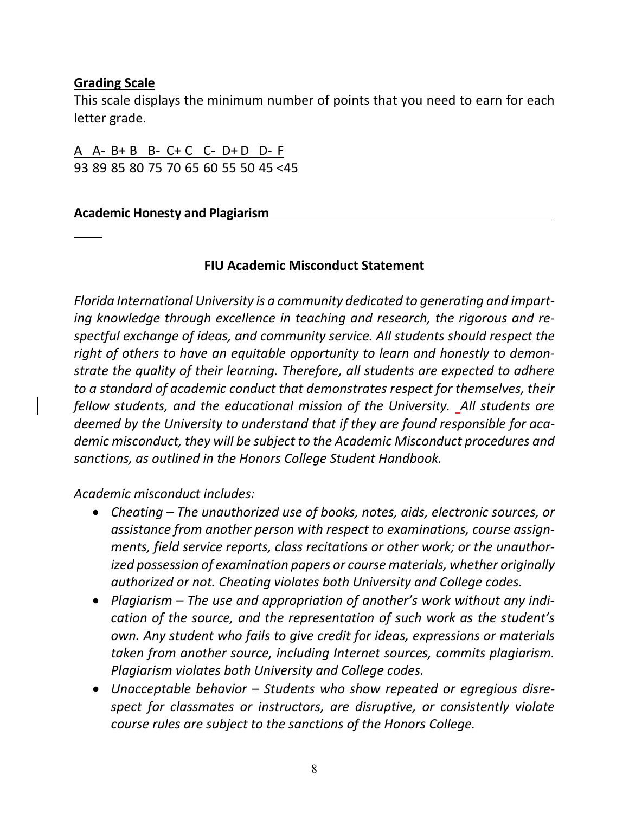## **Grading Scale**

This scale displays the minimum number of points that you need to earn for each letter grade.

A A- B+ B B- C+ C C- D+ D D- F 93 89 85 80 75 70 65 60 55 50 45 <45

#### **Academic Honesty and Plagiarism**

#### **FIU Academic Misconduct Statement**

*Florida International University is a community dedicated to generating and imparting knowledge through excellence in teaching and research, the rigorous and respectful exchange of ideas, and community service. All students should respect the right of others to have an equitable opportunity to learn and honestly to demonstrate the quality of their learning. Therefore, all students are expected to adhere to a standard of academic conduct that demonstrates respect for themselves, their fellow students, and the educational mission of the University. All students are deemed by the University to understand that if they are found responsible for academic misconduct, they will be subject to the Academic Misconduct procedures and sanctions, as outlined in the Honors College Student Handbook.*

*Academic misconduct includes:* 

- *Cheating – The unauthorized use of books, notes, aids, electronic sources, or assistance from another person with respect to examinations, course assignments, field service reports, class recitations or other work; or the unauthorized possession of examination papers or course materials, whether originally authorized or not. Cheating violates both University and College codes.*
- *Plagiarism – The use and appropriation of another's work without any indication of the source, and the representation of such work as the student's own. Any student who fails to give credit for ideas, expressions or materials taken from another source, including Internet sources, commits plagiarism. Plagiarism violates both University and College codes.*
- *Unacceptable behavior – Students who show repeated or egregious disrespect for classmates or instructors, are disruptive, or consistently violate course rules are subject to the sanctions of the Honors College.*